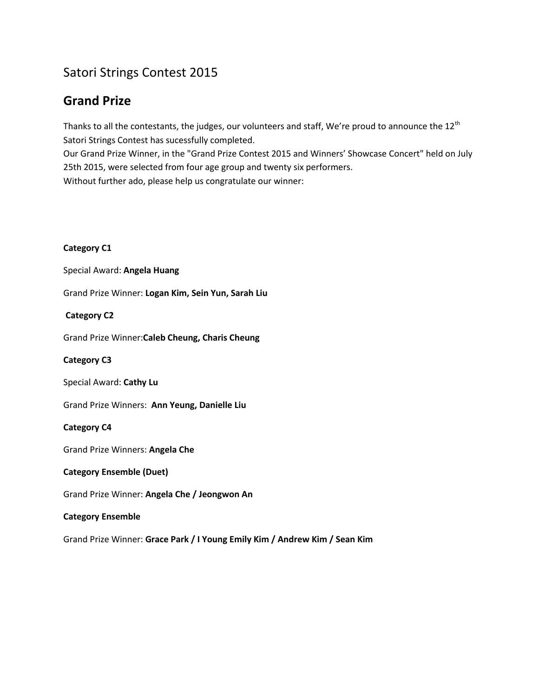## Satori Strings Contest 2015

## **Grand Prize**

Thanks to all the contestants, the judges, our volunteers and staff, We're proud to announce the  $12^{th}$ Satori Strings Contest has sucessfully completed.

Our Grand Prize Winner, in the "Grand Prize Contest 2015 and Winners' Showcase Concert" held on July 25th 2015, were selected from four age group and twenty six performers. Without further ado, please help us congratulate our winner:

### **Category C1**

Special Award: **Angela Huang**

Grand Prize Winner: **Logan Kim, Sein Yun, Sarah Liu**

### **Category C2**

Grand Prize Winner:**Caleb Cheung, Charis Cheung**

#### **Category C3**

Special Award: **Cathy Lu**

Grand Prize Winners: **Ann Yeung, Danielle Liu** 

### **Category C4**

Grand Prize Winners: **Angela Che**

#### **Category Ensemble (Duet)**

Grand Prize Winner: **Angela Che / Jeongwon An**

#### **Category Ensemble**

Grand Prize Winner: **Grace Park / I Young Emily Kim / Andrew Kim / Sean Kim**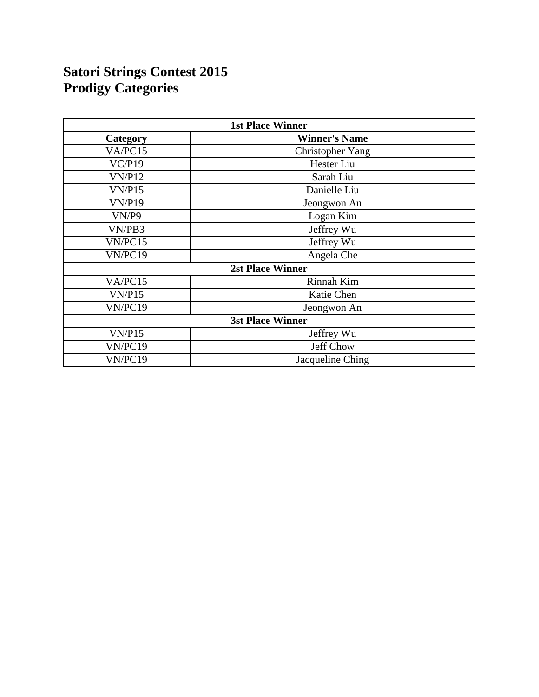# **Satori Strings Contest 2015 Prodigy Categories**

| <b>1st Place Winner</b> |                         |
|-------------------------|-------------------------|
| Category                | <b>Winner's Name</b>    |
| VA/PC15                 | <b>Christopher Yang</b> |
| VC/P19                  | Hester Liu              |
| <b>VN/P12</b>           | Sarah Liu               |
| VN/P15                  | Danielle Liu            |
| VN/P19                  | Jeongwon An             |
| VN/P9                   | Logan Kim               |
| VN/PB3                  | Jeffrey Wu              |
| VN/PC15                 | Jeffrey Wu              |
| VN/PC19                 | Angela Che              |
|                         | <b>2st Place Winner</b> |
| VA/PC15                 | Rinnah Kim              |
| VN/P15                  | Katie Chen              |
| VN/PC19                 | Jeongwon An             |
|                         | <b>3st Place Winner</b> |
| VN/P15                  | Jeffrey Wu              |
| VN/PC19                 | Jeff Chow               |
| VN/PC19                 | Jacqueline Ching        |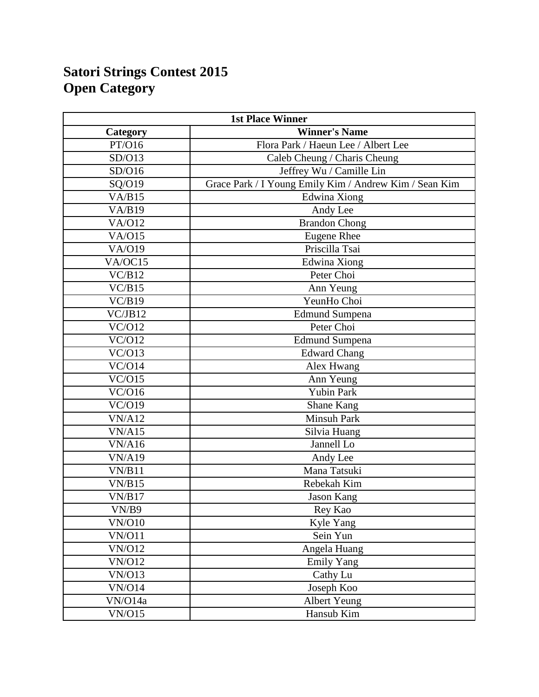# **Satori Strings Contest 2015 Open Category**

| <b>1st Place Winner</b> |                                                        |
|-------------------------|--------------------------------------------------------|
| Category                | <b>Winner's Name</b>                                   |
| PT/O16                  | Flora Park / Haeun Lee / Albert Lee                    |
| SD/O13                  | Caleb Cheung / Charis Cheung                           |
| SD/O16                  | Jeffrey Wu / Camille Lin                               |
| SQ/O19                  | Grace Park / I Young Emily Kim / Andrew Kim / Sean Kim |
| VA/B15                  | Edwina Xiong                                           |
| VA/B19                  | Andy Lee                                               |
| <b>VA/O12</b>           | <b>Brandon Chong</b>                                   |
| VA/O15                  | <b>Eugene Rhee</b>                                     |
| <b>VA/O19</b>           | Priscilla Tsai                                         |
| VA/OC15                 | Edwina Xiong                                           |
| VC/B12                  | Peter Choi                                             |
| VC/B15                  | Ann Yeung                                              |
| $\overline{VC/B19}$     | YeunHo Choi                                            |
| VC/JB12                 | <b>Edmund Sumpena</b>                                  |
| VC/O12                  | Peter Choi                                             |
| VC/012                  | <b>Edmund Sumpena</b>                                  |
| VC/O13                  | Edward Chang                                           |
| VC/O14                  | Alex Hwang                                             |
| VC/O15                  | Ann Yeung                                              |
| VC/O16                  | <b>Yubin Park</b>                                      |
| VC/O19                  | <b>Shane Kang</b>                                      |
| <b>VN/A12</b>           | <b>Minsuh Park</b>                                     |
| VN/A15                  | Silvia Huang                                           |
| <b>VN/A16</b>           | Jannell Lo                                             |
| <b>VN/A19</b>           | Andy Lee                                               |
| VN/B11                  | Mana Tatsuki                                           |
| VN/B15                  | Rebekah Kim                                            |
| VN/B17                  | <b>Jason Kang</b>                                      |
| VN/B9                   | Rey Kao                                                |
| <b>VN/O10</b>           | Kyle Yang                                              |
| <b>VN/O11</b>           | Sein Yun                                               |
| <b>VN/O12</b>           | Angela Huang                                           |
| <b>VN/O12</b>           | <b>Emily Yang</b>                                      |
| <b>VN/O13</b>           | Cathy Lu                                               |
| <b>VN/O14</b>           | Joseph Koo                                             |
| VN/O14a                 | <b>Albert Yeung</b>                                    |
| VN/O15                  | Hansub Kim                                             |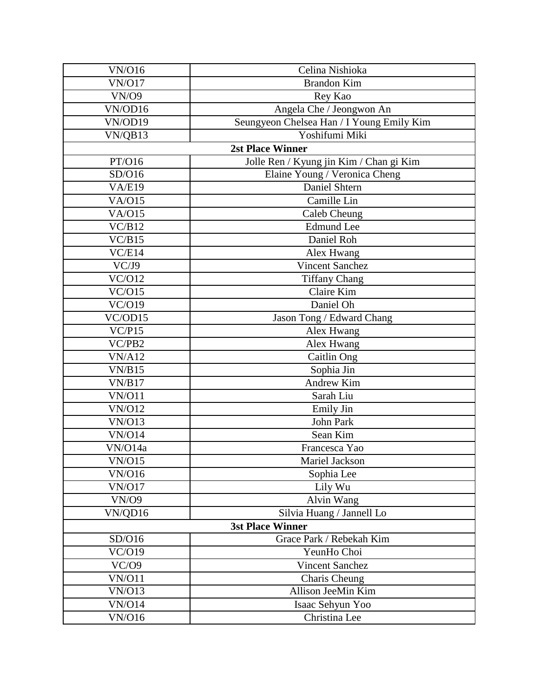| <b>VN/O16</b>          | Celina Nishioka                           |
|------------------------|-------------------------------------------|
| <b>VN/O17</b>          | <b>Brandon Kim</b>                        |
| <b>VN/O9</b>           | Rey Kao                                   |
| VN/OD16                | Angela Che / Jeongwon An                  |
| VN/OD19                | Seungyeon Chelsea Han / I Young Emily Kim |
| VN/QB13                | Yoshifumi Miki                            |
|                        | <b>2st Place Winner</b>                   |
| PT/O16                 | Jolle Ren / Kyung jin Kim / Chan gi Kim   |
| SD/O16                 | Elaine Young / Veronica Cheng             |
| <b>VA/E19</b>          | Daniel Shtern                             |
| V A/O15                | Camille Lin                               |
| <b>VA/O15</b>          | Caleb Cheung                              |
| VC/B12                 | <b>Edmund</b> Lee                         |
| VC/B15                 | Daniel Roh                                |
| VC/E14                 | Alex Hwang                                |
| VC/J9                  | Vincent Sanchez                           |
| $\sqrt{\frac{C}{O12}}$ | <b>Tiffany Chang</b>                      |
| VC/O15                 | Claire Kim                                |
| VC/O19                 | Daniel Oh                                 |
| VC/OD15                | Jason Tong / Edward Chang                 |
| VC/P15                 | Alex Hwang                                |
| VC/PB2                 | Alex Hwang                                |
| VN/A12                 | Caitlin Ong                               |
| VN/B15                 | Sophia Jin                                |
| VN/B17                 | Andrew Kim                                |
| <b>VN/O11</b>          | Sarah Liu                                 |
| <b>VN/O12</b>          | <b>Emily Jin</b>                          |
| VN/O13                 | John Park                                 |
| <b>VN/O14</b>          | Sean Kim                                  |
| VN/O14a                | Francesca Yao                             |
| VN/O15                 | Mariel Jackson                            |
| <b>VN/O16</b>          | Sophia Lee                                |
| <b>VN/O17</b>          | Lily Wu                                   |
| <b>VN/O9</b>           | Alvin Wang                                |
| VN/QD16                | Silvia Huang / Jannell Lo                 |
|                        | <b>3st Place Winner</b>                   |
| SD/O16                 | Grace Park / Rebekah Kim                  |
| VC/O19                 | YeunHo Choi                               |
| VC/O9                  | <b>Vincent Sanchez</b>                    |
| <b>VN/O11</b>          | Charis Cheung                             |
| <b>VN/O13</b>          | Allison JeeMin Kim                        |
| <b>VN/O14</b>          | Isaac Sehyun Yoo                          |
| <b>VN/O16</b>          | Christina Lee                             |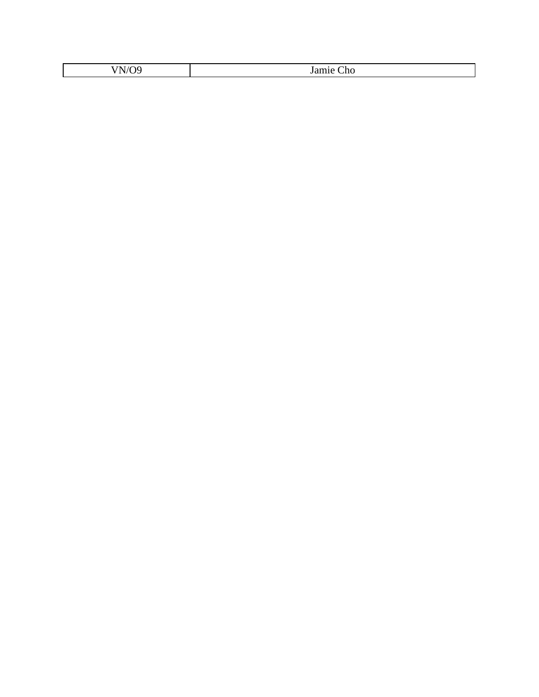| ----                     | -     |
|--------------------------|-------|
| $\overline{\phantom{a}}$ | . .   |
| ◥                        | .amı  |
| `                        | -IIO. |
|                          |       |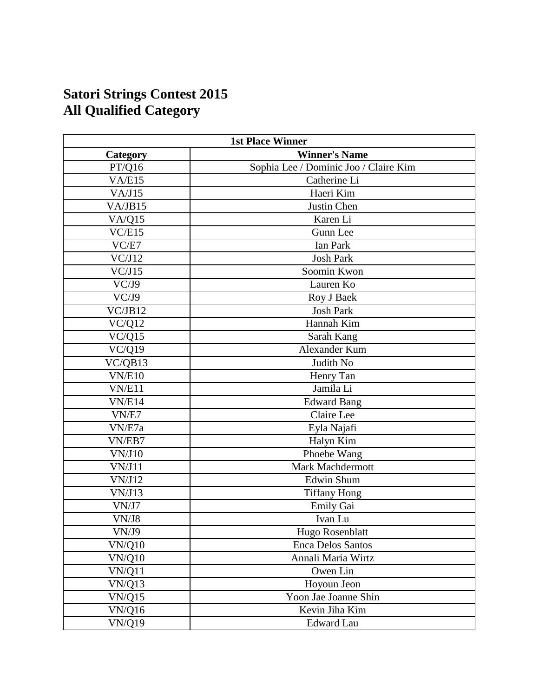# **Satori Strings Contest 2015 All Qualified Category**

| <b>1st Place Winner</b> |                                       |
|-------------------------|---------------------------------------|
| Category                | <b>Winner's Name</b>                  |
| PT/Q16                  | Sophia Lee / Dominic Joo / Claire Kim |
| VA/E15                  | Catherine Li                          |
| VA/J15                  | Haeri Kim                             |
| VA/JB15                 | Justin Chen                           |
| VA/Q15                  | Karen Li                              |
| VC/E15                  | Gunn Lee                              |
| VC/E7                   | <b>Ian Park</b>                       |
| VC/J12                  | <b>Josh Park</b>                      |
| VC/J15                  | Soomin Kwon                           |
| VC/J9                   | Lauren Ko                             |
| VC/J9                   | Roy J Baek                            |
| VC/JB12                 | <b>Josh Park</b>                      |
| VC/Q12                  | Hannah Kim                            |
| VC/Q15                  | Sarah Kang                            |
| VC/Q19                  | Alexander Kum                         |
| VC/QB13                 | Judith No                             |
| VN/E10                  | Henry Tan                             |
| VN/E11                  | Jamila Li                             |
| VN/E14                  | <b>Edward Bang</b>                    |
| VN/E7                   | Claire Lee                            |
| VN/E7a                  | Eyla Najafi                           |
| VN/EB7                  | Halyn Kim                             |
| VN/J10                  | Phoebe Wang                           |
| VN/J11                  | Mark Machdermott                      |
| VN/J12                  | <b>Edwin Shum</b>                     |
| VN/J13                  | <b>Tiffany Hong</b>                   |
| VN/J7                   | Emily Gai                             |
| VN/J8                   | Ivan Lu                               |
| VN/J9                   | Hugo Rosenblatt                       |
| <b>VN/Q10</b>           | <b>Enca Delos Santos</b>              |
| <b>VN/Q10</b>           | Annali Maria Wirtz                    |
| VN/Q11                  | Owen Lin                              |
| VN/Q13                  | Hoyoun Jeon                           |
| VN/Q15                  | Yoon Jae Joanne Shin                  |
| <b>VN/Q16</b>           | Kevin Jiha Kim                        |
| <b>VN/Q19</b>           | <b>Edward Lau</b>                     |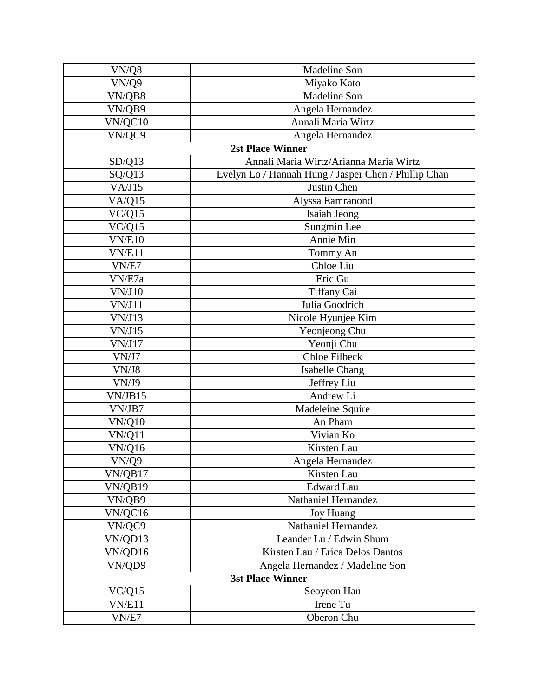| VN/Q8              | Madeline Son                                         |
|--------------------|------------------------------------------------------|
| $\overline{V}N/Q9$ | Miyako Kato                                          |
| VN/QB8             | Madeline Son                                         |
| VN/QB9             | Angela Hernandez                                     |
| VN/QC10            | Annali Maria Wirtz                                   |
| VN/QC9             | Angela Hernandez                                     |
|                    | <b>2st Place Winner</b>                              |
| SD/Q13             | Annali Maria Wirtz/Arianna Maria Wirtz               |
| SQ/Q13             | Evelyn Lo / Hannah Hung / Jasper Chen / Phillip Chan |
| VA/J15             | Justin Chen                                          |
| VA/Q15             | Alyssa Eamranond                                     |
| VC/Q15             | Isaiah Jeong                                         |
| VC/Q15             | Sungmin Lee                                          |
| <b>VN/E10</b>      | Annie Min                                            |
| VN/E11             | Tommy An                                             |
| VN/E7              | Chloe Liu                                            |
| VN/E7a             | Eric Gu                                              |
| VN/J10             | Tiffany Cai                                          |
| VN/J11             | Julia Goodrich                                       |
| VN/J13             | Nicole Hyunjee Kim                                   |
| VN/J15             | Yeonjeong Chu                                        |
| VN/J17             | Yeonji Chu                                           |
| VN/J7              | <b>Chloe Filbeck</b>                                 |
| VN/J8              | <b>Isabelle Chang</b>                                |
| VN/J9              | Jeffrey Liu                                          |
| VN/JB15            | Andrew Li                                            |
| VN/JB7             | Madeleine Squire                                     |
| <b>VN/Q10</b>      | An Pham                                              |
| VN/Q11             | Vivian Ko                                            |
| VN/Q16             | Kirsten Lau                                          |
| VN/Q9              | Angela Hernandez                                     |
| VN/QB17            | Kirsten Lau                                          |
| VN/QB19            | <b>Edward Lau</b>                                    |
| VN/QB9             | Nathaniel Hernandez                                  |
| VN/QC16            | <b>Joy Huang</b>                                     |
| VN/QC9             | Nathaniel Hernandez                                  |
| VN/QD13            | Leander Lu / Edwin Shum                              |
| VN/QD16            | Kirsten Lau / Erica Delos Dantos                     |
| VN/QD9             | Angela Hernandez / Madeline Son                      |
|                    | <b>3st Place Winner</b>                              |
| VC/Q15             | Seoyeon Han                                          |
| VN/E11             | Irene Tu                                             |
| VN/E7              | Oberon Chu                                           |